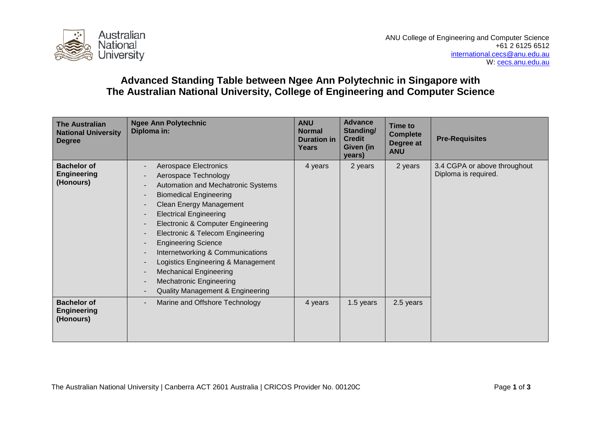

## **Advanced Standing Table between Ngee Ann Polytechnic in Singapore with The Australian National University, College of Engineering and Computer Science**

| <b>The Australian</b><br><b>National University</b><br><b>Degree</b> | <b>Ngee Ann Polytechnic</b><br>Diploma in:                                                                                                                                                                                                                                                                                                                                                                                                                                                            | <b>ANU</b><br><b>Normal</b><br><b>Duration in</b><br><b>Years</b> | <b>Advance</b><br>Standing/<br><b>Credit</b><br><b>Given (in</b><br>years) | Time to<br><b>Complete</b><br>Degree at<br><b>ANU</b> | <b>Pre-Requisites</b>                                |
|----------------------------------------------------------------------|-------------------------------------------------------------------------------------------------------------------------------------------------------------------------------------------------------------------------------------------------------------------------------------------------------------------------------------------------------------------------------------------------------------------------------------------------------------------------------------------------------|-------------------------------------------------------------------|----------------------------------------------------------------------------|-------------------------------------------------------|------------------------------------------------------|
| <b>Bachelor of</b><br><b>Engineering</b><br>(Honours)                | Aerospace Electronics<br>Aerospace Technology<br>Automation and Mechatronic Systems<br><b>Biomedical Engineering</b><br><b>Clean Energy Management</b><br><b>Electrical Engineering</b><br><b>Electronic &amp; Computer Engineering</b><br>Electronic & Telecom Engineering<br><b>Engineering Science</b><br>Internetworking & Communications<br>Logistics Engineering & Management<br><b>Mechanical Engineering</b><br><b>Mechatronic Engineering</b><br><b>Quality Management &amp; Engineering</b> | 4 years                                                           | 2 years                                                                    | 2 years                                               | 3.4 CGPA or above throughout<br>Diploma is required. |
| <b>Bachelor of</b><br><b>Engineering</b><br>(Honours)                | Marine and Offshore Technology                                                                                                                                                                                                                                                                                                                                                                                                                                                                        | 4 years                                                           | 1.5 years                                                                  | 2.5 years                                             |                                                      |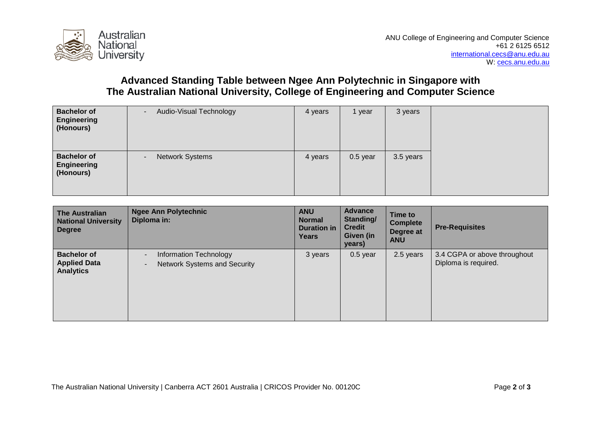

## **Advanced Standing Table between Ngee Ann Polytechnic in Singapore with The Australian National University, College of Engineering and Computer Science**

| <b>Bachelor of</b><br>Engineering<br>(Honours)        | Audio-Visual Technology | 4 years | 1 year     | 3 years   |
|-------------------------------------------------------|-------------------------|---------|------------|-----------|
| <b>Bachelor of</b><br><b>Engineering</b><br>(Honours) | <b>Network Systems</b>  | 4 years | $0.5$ year | 3.5 years |

| <b>The Australian</b><br><b>National University</b><br><b>Degree</b> | <b>Ngee Ann Polytechnic</b><br>Diploma in:                    | <b>ANU</b><br><b>Normal</b><br><b>Duration in</b><br>Years | <b>Advance</b><br>Standing/<br><b>Credit</b><br>Given (in<br>years) | Time to<br><b>Complete</b><br>Degree at<br><b>ANU</b> | <b>Pre-Requisites</b>                                |
|----------------------------------------------------------------------|---------------------------------------------------------------|------------------------------------------------------------|---------------------------------------------------------------------|-------------------------------------------------------|------------------------------------------------------|
| <b>Bachelor of</b><br><b>Applied Data</b><br><b>Analytics</b>        | Information Technology<br><b>Network Systems and Security</b> | 3 years                                                    | $0.5$ year                                                          | 2.5 years                                             | 3.4 CGPA or above throughout<br>Diploma is required. |